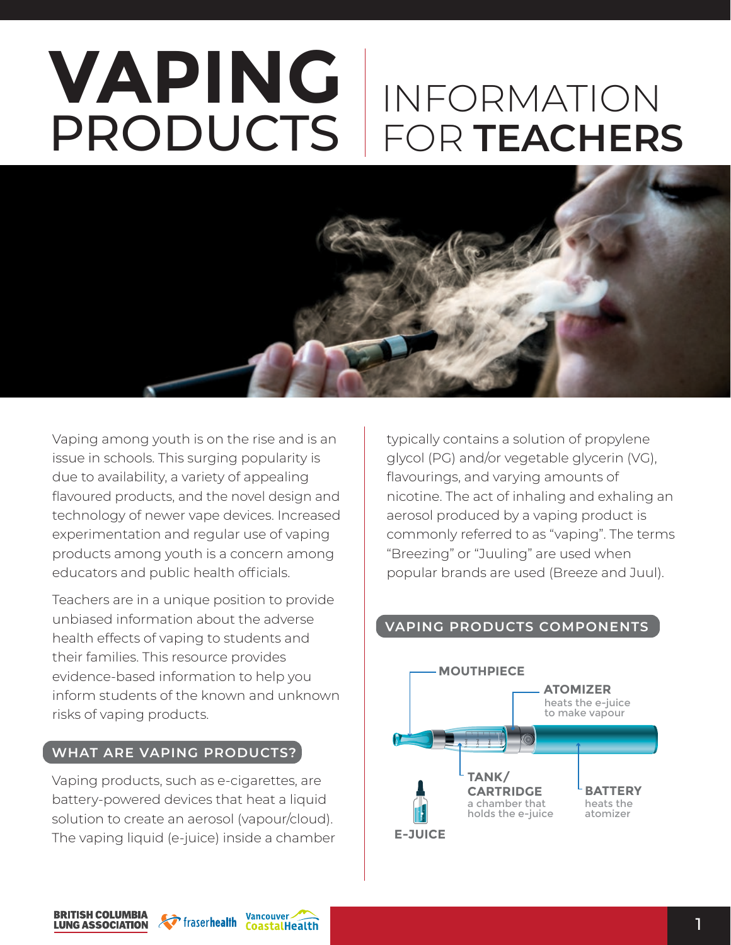# **VAPING** PRODUCTS INFORMATION FOR **TEACHERS**



Vaping among youth is on the rise and is an issue in schools. This surging popularity is due to availability, a variety of appealing flavoured products, and the novel design and technology of newer vape devices. Increased experimentation and regular use of vaping products among youth is a concern among educators and public health officials.

Teachers are in a unique position to provide unbiased information about the adverse health effects of vaping to students and their families. This resource provides evidence-based information to help you inform students of the known and unknown risks of vaping products.

#### **WHAT ARE VAPING PRODUCTS?**

Vaping products, such as e-cigarettes, are battery-powered devices that heat a liquid solution to create an aerosol (vapour/cloud). The vaping liquid (e-juice) inside a chamber typically contains a solution of propylene glycol (PG) and/or vegetable glycerin (VG), flavourings, and varying amounts of nicotine. The act of inhaling and exhaling an aerosol produced by a vaping product is commonly referred to as "vaping". The terms "Breezing" or "Juuling" are used when popular brands are used (Breeze and Juul).

## **VAPING PRODUCTS COMPONENTS**





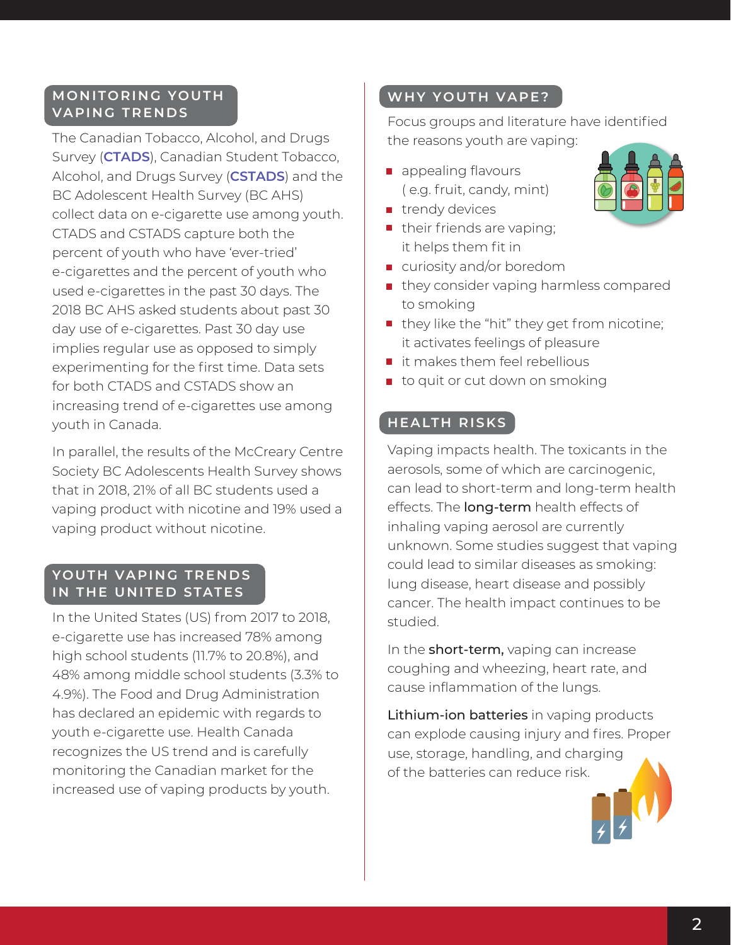#### **MONITORING YOUTH VAPING TRENDS**

The Canadian Tobacco, Alcohol, and Drugs Survey (**[CTADS](https://www.canada.ca/en/health-canada/services/canadian-tobacco-alcohol-drugs-survey/2017-summary.html)**), Canadian Student Tobacco, Alcohol, and Drugs Survey (**[CSTADS](https://www.canada.ca/en/health-canada/services/canadian-student-tobacco-alcohol-drugs-survey.html)**) and the BC Adolescent Health Survey (BC AHS) collect data on e-cigarette use among youth. CTADS and CSTADS capture both the percent of youth who have 'ever-tried' e-cigarettes and the percent of youth who used e-cigarettes in the past 30 days. The 2018 BC AHS asked students about past 30 day use of e-cigarettes. Past 30 day use implies regular use as opposed to simply experimenting for the first time. Data sets for both CTADS and CSTADS show an increasing trend of e-cigarettes use among youth in Canada.

In parallel, the results of the McCreary Centre Society BC Adolescents Health Survey shows that in 2018, 21% of all BC students used a vaping product with nicotine and 19% used a vaping product without nicotine.

#### **YOUTH VAPING TRENDS IN THE UNITED STATES**

In the United States (US) from 2017 to 2018, e-cigarette use has increased 78% among high school students (11.7% to 20.8%), and 48% among middle school students (3.3% to 4.9%). The Food and Drug Administration has declared an epidemic with regards to youth e-cigarette use. Health Canada recognizes the US trend and is carefully monitoring the Canadian market for the increased use of vaping products by youth.

## **WHY YOUTH VAPE?**

Focus groups and literature have identified the reasons youth are vaping:

- **a** appealing flavours ( e.g. fruit, candy, mint)
- **trendy devices**
- $\blacksquare$  their friends are vaping; it helps them fit in
- curiosity and/or boredom
- **n** they consider vaping harmless compared to smoking
- $\blacksquare$  they like the "hit" they get from nicotine; it activates feelings of pleasure
- $\blacksquare$  it makes them feel rebellious
- $\blacksquare$  to quit or cut down on smoking

# **HEALTH RISKS**

Vaping impacts health. The toxicants in the aerosols, some of which are carcinogenic, can lead to short-term and long-term health effects. The **long-term** health effects of inhaling vaping aerosol are currently unknown. Some studies suggest that vaping could lead to similar diseases as smoking: lung disease, heart disease and possibly cancer. The health impact continues to be studied.

In the **short-term**, vaping can increase coughing and wheezing, heart rate, and cause inflammation of the lungs.

Lithium-ion batteries in vaping products can explode causing injury and fires. Proper use, storage, handling, and charging of the batteries can reduce risk.

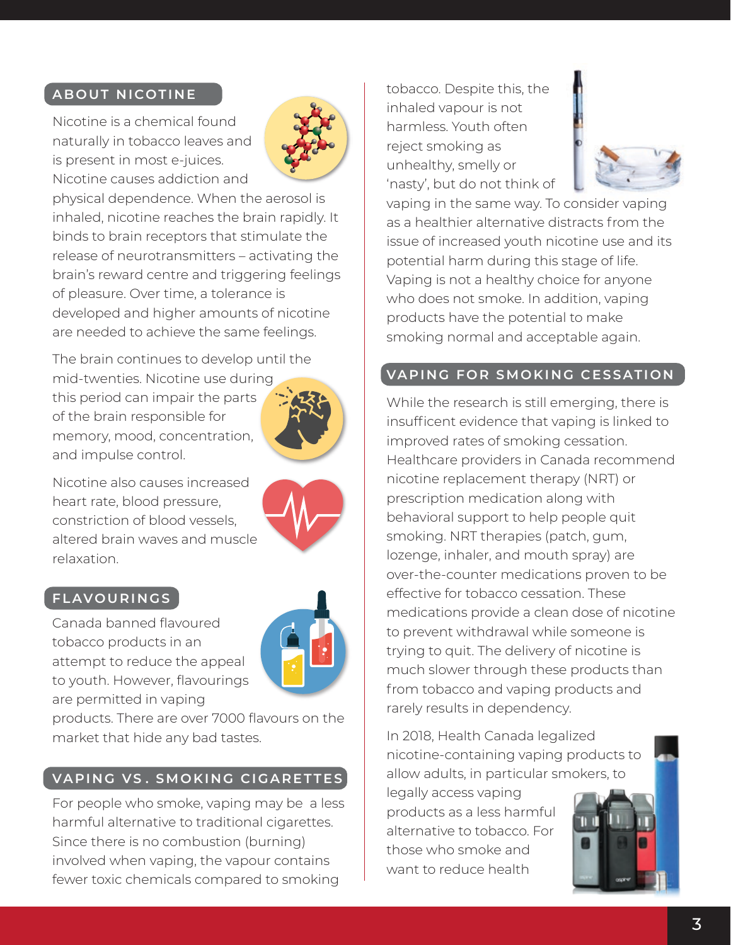## **ABOUT NICOTINE**

Nicotine is a chemical found naturally in tobacco leaves and is present in most e-juices. Nicotine causes addiction and



physical dependence. When the aerosol is inhaled, nicotine reaches the brain rapidly. It binds to brain receptors that stimulate the release of neurotransmitters – activating the brain's reward centre and triggering feelings of pleasure. Over time, a tolerance is developed and higher amounts of nicotine are needed to achieve the same feelings.

The brain continues to develop until the mid-twenties. Nicotine use during this period can impair the parts of the brain responsible for memory, mood, concentration, and impulse control.



Nicotine also causes increased heart rate, blood pressure, constriction of blood vessels, altered brain waves and muscle relaxation.

#### **FLAVOURINGS**

Canada banned flavoured tobacco products in an attempt to reduce the appeal to youth. However, flavourings are permitted in vaping



products. There are over 7000 flavours on the market that hide any bad tastes.

## **VAPING VS . SMOKING CIGARETTES**

For people who smoke, vaping may be a less harmful alternative to traditional cigarettes. Since there is no combustion (burning) involved when vaping, the vapour contains fewer toxic chemicals compared to smoking

tobacco. Despite this, the inhaled vapour is not harmless. Youth often reject smoking as unhealthy, smelly or 'nasty', but do not think of



vaping in the same way. To consider vaping as a healthier alternative distracts from the issue of increased youth nicotine use and its potential harm during this stage of life. Vaping is not a healthy choice for anyone who does not smoke. In addition, vaping products have the potential to make smoking normal and acceptable again.

#### **VAPING FOR SMOKING CESSATION**

While the research is still emerging, there is insufficent evidence that vaping is linked to improved rates of smoking cessation. Healthcare providers in Canada recommend nicotine replacement therapy (NRT) or prescription medication along with behavioral support to help people quit smoking. NRT therapies (patch, gum, lozenge, inhaler, and mouth spray) are over-the-counter medications proven to be effective for tobacco cessation. These medications provide a clean dose of nicotine to prevent withdrawal while someone is trying to quit. The delivery of nicotine is much slower through these products than from tobacco and vaping products and rarely results in dependency.

In 2018, Health Canada legalized nicotine-containing vaping products to allow adults, in particular smokers, to

legally access vaping products as a less harmful alternative to tobacco. For those who smoke and want to reduce health